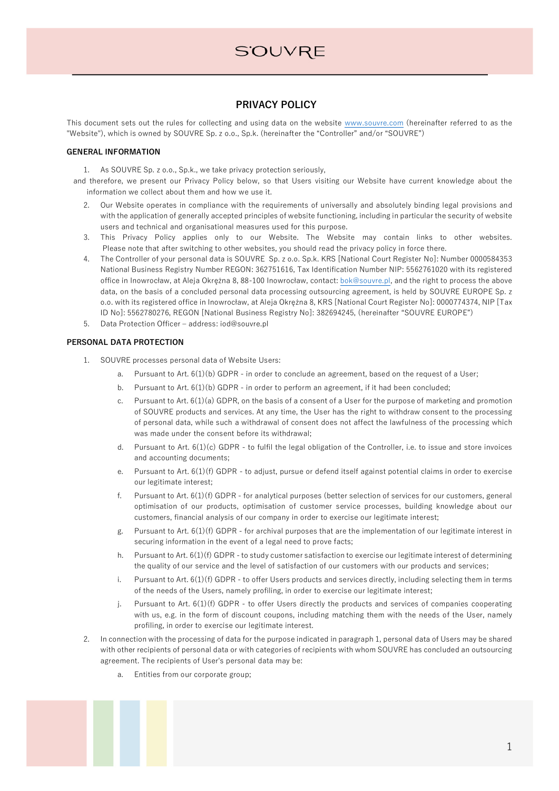### **PRIVACY POLICY**

This document sets out the rules for collecting and using data on the website www.souvre.com (hereinafter referred to as the "Website"), which is owned by SOUVRE Sp. z o.o., Sp.k. (hereinafter the "Controller" and/or "SOUVRE")

### **GENERAL INFORMATION**

1. As SOUVRE Sp. z o.o., Sp.k., we take privacy protection seriously,

and therefore, we present our Privacy Policy below, so that Users visiting our Website have current knowledge about the information we collect about them and how we use it.

- 2. Our Website operates in compliance with the requirements of universally and absolutely binding legal provisions and with the application of generally accepted principles of website functioning, including in particular the security of website users and technical and organisational measures used for this purpose.
- 3. This Privacy Policy applies only to our Website. The Website may contain links to other websites. Please note that after switching to other websites, you should read the privacy policy in force there.
- 4. The Controller of your personal data is SOUVRE Sp. z o.o. Sp.k. KRS [National Court Register No]: Number 0000584353 National Business Registry Number REGON: 362751616, Tax Identification Number NIP: 5562761020 with its registered office in Inowrocław, at Aleja Okrężna 8, 88-100 Inowrocław, contact: bok@souvre.pl, and the right to process the above data, on the basis of a concluded personal data processing outsourcing agreement, is held by SOUVRE EUROPE Sp. z o.o. with its registered office in Inowrocław, at Aleja Okrężna 8, KRS [National Court Register No]: 0000774374, NIP [Tax ID No]: 5562780276, REGON [National Business Registry No]: 382694245, (hereinafter "SOUVRE EUROPE")
- 5. Data Protection Officer address: iod@souvre.pl

### **PERSONAL DATA PROTECTION**

- 1. SOUVRE processes personal data of Website Users:
	- a. Pursuant to Art. 6(1)(b) GDPR in order to conclude an agreement, based on the request of a User;
	- b. Pursuant to Art.  $6(1)(b)$  GDPR in order to perform an agreement, if it had been concluded;
	- c. Pursuant to Art.  $6(1)(a)$  GDPR, on the basis of a consent of a User for the purpose of marketing and promotion of SOUVRE products and services. At any time, the User has the right to withdraw consent to the processing of personal data, while such a withdrawal of consent does not affect the lawfulness of the processing which was made under the consent before its withdrawal;
	- d. Pursuant to Art. 6(1)(c) GDPR to fulfil the legal obligation of the Controller, i.e. to issue and store invoices and accounting documents;
	- e. Pursuant to Art. 6(1)(f) GDPR to adjust, pursue or defend itself against potential claims in order to exercise our legitimate interest;
	- f. Pursuant to Art. 6(1)(f) GDPR for analytical purposes (better selection of services for our customers, general optimisation of our products, optimisation of customer service processes, building knowledge about our customers, financial analysis of our company in order to exercise our legitimate interest;
	- g. Pursuant to Art. 6(1)(f) GDPR for archival purposes that are the implementation of our legitimate interest in securing information in the event of a legal need to prove facts;
	- h. Pursuant to Art. 6(1)(f) GDPR to study customer satisfaction to exercise our legitimate interest of determining the quality of our service and the level of satisfaction of our customers with our products and services;
	- i. Pursuant to Art. 6(1)(f) GDPR to offer Users products and services directly, including selecting them in terms of the needs of the Users, namely profiling, in order to exercise our legitimate interest;
	- j. Pursuant to Art. 6(1)(f) GDPR to offer Users directly the products and services of companies cooperating with us, e.g. in the form of discount coupons, including matching them with the needs of the User, namely profiling, in order to exercise our legitimate interest.
- 2. In connection with the processing of data for the purpose indicated in paragraph 1, personal data of Users may be shared with other recipients of personal data or with categories of recipients with whom SOUVRE has concluded an outsourcing agreement. The recipients of User's personal data may be:
	- a. Entities from our corporate group;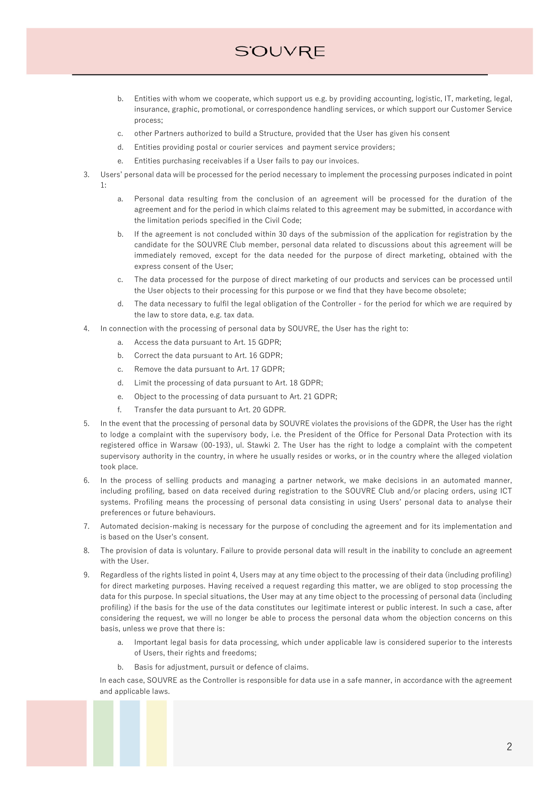## **S'OUVRE**

- b. Entities with whom we cooperate, which support us e.g. by providing accounting, logistic, IT, marketing, legal, insurance, graphic, promotional, or correspondence handling services, or which support our Customer Service process;
- c. other Partners authorized to build a Structure, provided that the User has given his consent
- d. Entities providing postal or courier services and payment service providers;
- e. Entities purchasing receivables if a User fails to pay our invoices.
- 3. Users' personal data will be processed for the period necessary to implement the processing purposes indicated in point 1:
	- a. Personal data resulting from the conclusion of an agreement will be processed for the duration of the agreement and for the period in which claims related to this agreement may be submitted, in accordance with the limitation periods specified in the Civil Code;
	- b. If the agreement is not concluded within 30 days of the submission of the application for registration by the candidate for the SOUVRE Club member, personal data related to discussions about this agreement will be immediately removed, except for the data needed for the purpose of direct marketing, obtained with the express consent of the User;
	- c. The data processed for the purpose of direct marketing of our products and services can be processed until the User objects to their processing for this purpose or we find that they have become obsolete;
	- d. The data necessary to fulfil the legal obligation of the Controller for the period for which we are required by the law to store data, e.g. tax data.
- 4. In connection with the processing of personal data by SOUVRE, the User has the right to:
	- a. Access the data pursuant to Art. 15 GDPR;
	- b. Correct the data pursuant to Art. 16 GDPR;
	- c. Remove the data pursuant to Art. 17 GDPR;
	- d. Limit the processing of data pursuant to Art. 18 GDPR;
	- e. Object to the processing of data pursuant to Art. 21 GDPR;
	- f. Transfer the data pursuant to Art. 20 GDPR.
- 5. In the event that the processing of personal data by SOUVRE violates the provisions of the GDPR, the User has the right to lodge a complaint with the supervisory body, i.e. the President of the Office for Personal Data Protection with its registered office in Warsaw (00-193), ul. Stawki 2. The User has the right to lodge a complaint with the competent supervisory authority in the country, in where he usually resides or works, or in the country where the alleged violation took place.
- 6. In the process of selling products and managing a partner network, we make decisions in an automated manner, including profiling, based on data received during registration to the SOUVRE Club and/or placing orders, using ICT systems. Profiling means the processing of personal data consisting in using Users' personal data to analyse their preferences or future behaviours.
- 7. Automated decision-making is necessary for the purpose of concluding the agreement and for its implementation and is based on the User's consent.
- 8. The provision of data is voluntary. Failure to provide personal data will result in the inability to conclude an agreement with the User.
- 9. Regardless of the rights listed in point 4, Users may at any time object to the processing of their data (including profiling) for direct marketing purposes. Having received a request regarding this matter, we are obliged to stop processing the data for this purpose. In special situations, the User may at any time object to the processing of personal data (including profiling) if the basis for the use of the data constitutes our legitimate interest or public interest. In such a case, after considering the request, we will no longer be able to process the personal data whom the objection concerns on this basis, unless we prove that there is:
	- a. Important legal basis for data processing, which under applicable law is considered superior to the interests of Users, their rights and freedoms;
	- b. Basis for adjustment, pursuit or defence of claims.

In each case, SOUVRE as the Controller is responsible for data use in a safe manner, in accordance with the agreement and applicable laws.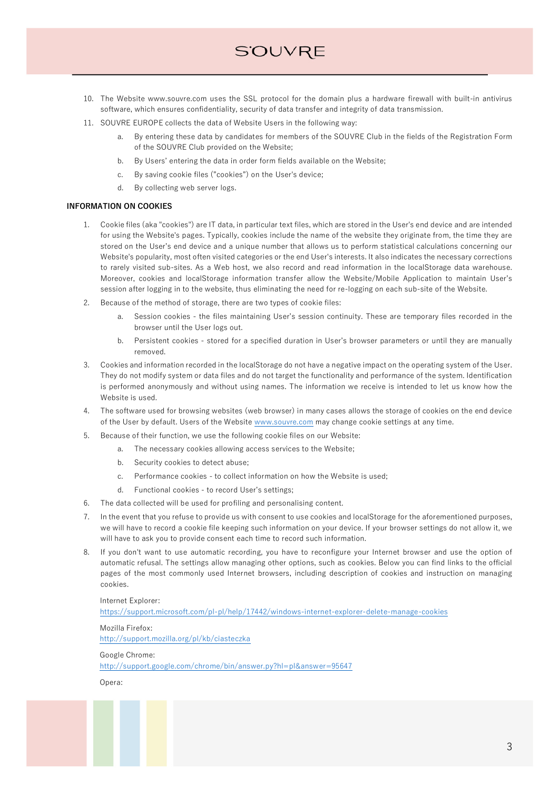# **S'OUVRE**

- 10. The Website www.souvre.com uses the SSL protocol for the domain plus a hardware firewall with built-in antivirus software, which ensures confidentiality, security of data transfer and integrity of data transmission.
- 11. SOUVRE EUROPE collects the data of Website Users in the following way:
	- a. By entering these data by candidates for members of the SOUVRE Club in the fields of the Registration Form of the SOUVRE Club provided on the Website;
	- b. By Users' entering the data in order form fields available on the Website;
	- c. By saving cookie files ("cookies") on the User's device;
	- d. By collecting web server logs.

### **INFORMATION ON COOKIES**

- 1. Cookie files (aka "cookies") are IT data, in particular text files, which are stored in the User's end device and are intended for using the Website's pages. Typically, cookies include the name of the website they originate from, the time they are stored on the User's end device and a unique number that allows us to perform statistical calculations concerning our Website's popularity, most often visited categories or the end User's interests. It also indicates the necessary corrections to rarely visited sub-sites. As a Web host, we also record and read information in the localStorage data warehouse. Moreover, cookies and localStorage information transfer allow the Website/Mobile Application to maintain User's session after logging in to the website, thus eliminating the need for re-logging on each sub-site of the Website.
- 2. Because of the method of storage, there are two types of cookie files:
	- a. Session cookies the files maintaining User's session continuity. These are temporary files recorded in the browser until the User logs out.
	- b. Persistent cookies stored for a specified duration in User's browser parameters or until they are manually removed.
- 3. Cookies and information recorded in the localStorage do not have a negative impact on the operating system of the User. They do not modify system or data files and do not target the functionality and performance of the system. Identification is performed anonymously and without using names. The information we receive is intended to let us know how the Website is used.
- 4. The software used for browsing websites (web browser) in many cases allows the storage of cookies on the end device of the User by default. Users of the Website www.souvre.com may change cookie settings at any time.
- 5. Because of their function, we use the following cookie files on our Website:
	- a. The necessary cookies allowing access services to the Website;
	- b. Security cookies to detect abuse;
	- c. Performance cookies to collect information on how the Website is used;
	- d. Functional cookies to record User's settings;
- 6. The data collected will be used for profiling and personalising content.
- 7. In the event that you refuse to provide us with consent to use cookies and localStorage for the aforementioned purposes, we will have to record a cookie file keeping such information on your device. If your browser settings do not allow it, we will have to ask you to provide consent each time to record such information.
- 8. If you don't want to use automatic recording, you have to reconfigure your Internet browser and use the option of automatic refusal. The settings allow managing other options, such as cookies. Below you can find links to the official pages of the most commonly used Internet browsers, including description of cookies and instruction on managing cookies.

### Internet Explorer:

https://support.microsoft.com/pl-pl/help/17442/windows-internet-explorer-delete-manage-cookies

Mozilla Firefox: http://support.mozilla.org/pl/kb/ciasteczka

Google Chrome:

http://support.google.com/chrome/bin/answer.py?hl=pl&answer=95647

Opera: